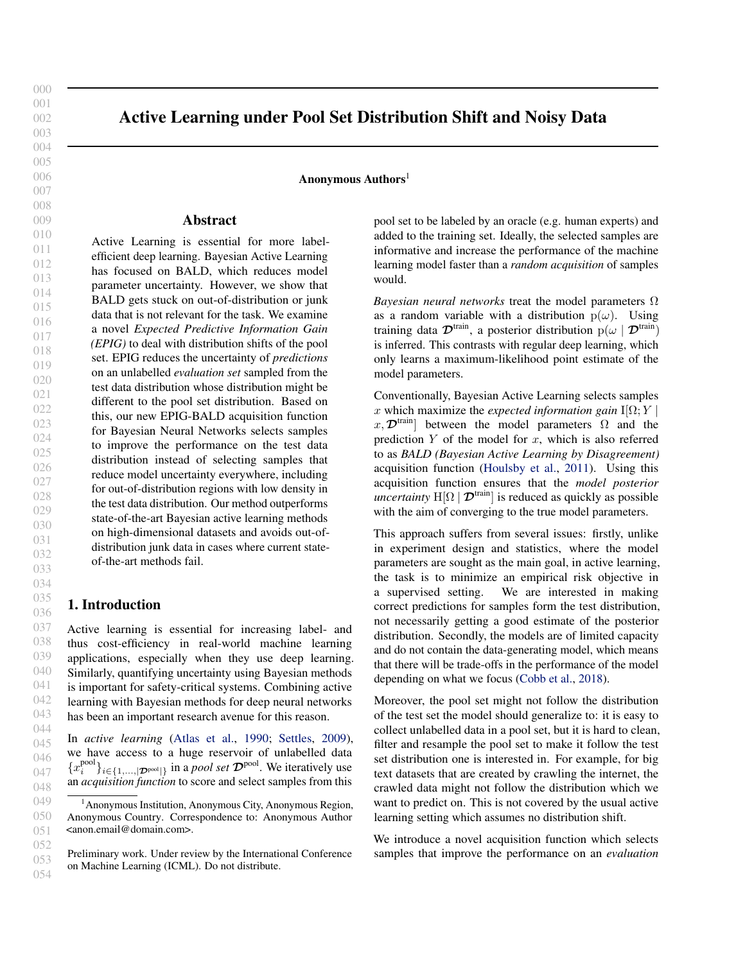<span id="page-0-0"></span>000 001 002

# Active Learning under Pool Set Distribution Shift and Noisy Data

Anonymous  $\text{Authors}^1$ 

## Abstract

Active Learning is essential for more labelefficient deep learning. Bayesian Active Learning has focused on BALD, which reduces model parameter uncertainty. However, we show that BALD gets stuck on out-of-distribution or junk data that is not relevant for the task. We examine a novel *Expected Predictive Information Gain (EPIG)* to deal with distribution shifts of the pool set. EPIG reduces the uncertainty of *predictions* on an unlabelled *evaluation set* sampled from the test data distribution whose distribution might be different to the pool set distribution. Based on this, our new EPIG-BALD acquisition function for Bayesian Neural Networks selects samples to improve the performance on the test data distribution instead of selecting samples that reduce model uncertainty everywhere, including for out-of-distribution regions with low density in the test data distribution. Our method outperforms state-of-the-art Bayesian active learning methods on high-dimensional datasets and avoids out-ofdistribution junk data in cases where current stateof-the-art methods fail.

## 1. Introduction

Active learning is essential for increasing label- and thus cost-efficiency in real-world machine learning applications, especially when they use deep learning. Similarly, quantifying uncertainty using Bayesian methods is important for safety-critical systems. Combining active learning with Bayesian methods for deep neural networks has been an important research avenue for this reason.

In *active learning* [\(Atlas et al.,](#page-6-0) [1990;](#page-6-0) [Settles,](#page-6-0) [2009\)](#page-6-0), we have access to a huge reservoir of unlabelled data  ${x_i^{\text{pool}}}_{i \in \{1,...,|\mathcal{D}^{\text{pool}}|\}}$  in a *pool set*  $\mathcal{D}^{\text{pool}}$ . We iteratively use an *acquisition function* to score and select samples from this

pool set to be labeled by an oracle (e.g. human experts) and added to the training set. Ideally, the selected samples are informative and increase the performance of the machine learning model faster than a *random acquisition* of samples would.

*Bayesian neural networks* treat the model parameters Ω as a random variable with a distribution  $p(\omega)$ . Using training data  $\mathcal{D}^{train}$ , a posterior distribution  $p(\omega | \mathcal{D}^{train})$ is inferred. This contrasts with regular deep learning, which only learns a maximum-likelihood point estimate of the model parameters.

Conventionally, Bayesian Active Learning selects samples x which maximize the *expected information gain*  $I[\Omega; Y]$ x,  $\mathcal{D}^{\text{train}}$  between the model parameters  $\Omega$  and the prediction  $Y$  of the model for  $x$ , which is also referred to as *BALD (Bayesian Active Learning by Disagreement)* acquisition function [\(Houlsby et al.,](#page-6-0) [2011\)](#page-6-0). Using this acquisition function ensures that the *model posterior uncertainty*  $H[\Omega | \mathcal{D}^{train}]$  is reduced as quickly as possible with the aim of converging to the true model parameters.

This approach suffers from several issues: firstly, unlike in experiment design and statistics, where the model parameters are sought as the main goal, in active learning, the task is to minimize an empirical risk objective in a supervised setting. We are interested in making correct predictions for samples form the test distribution, not necessarily getting a good estimate of the posterior distribution. Secondly, the models are of limited capacity and do not contain the data-generating model, which means that there will be trade-offs in the performance of the model depending on what we focus [\(Cobb et al.,](#page-6-0) [2018\)](#page-6-0).

Moreover, the pool set might not follow the distribution of the test set the model should generalize to: it is easy to collect unlabelled data in a pool set, but it is hard to clean, filter and resample the pool set to make it follow the test set distribution one is interested in. For example, for big text datasets that are created by crawling the internet, the crawled data might not follow the distribution which we want to predict on. This is not covered by the usual active learning setting which assumes no distribution shift.

We introduce a novel acquisition function which selects samples that improve the performance on an *evaluation*

<sup>&</sup>lt;sup>1</sup> Anonymous Institution, Anonymous City, Anonymous Region, Anonymous Country. Correspondence to: Anonymous Author <anon.email@domain.com>.

Preliminary work. Under review by the International Conference on Machine Learning (ICML). Do not distribute.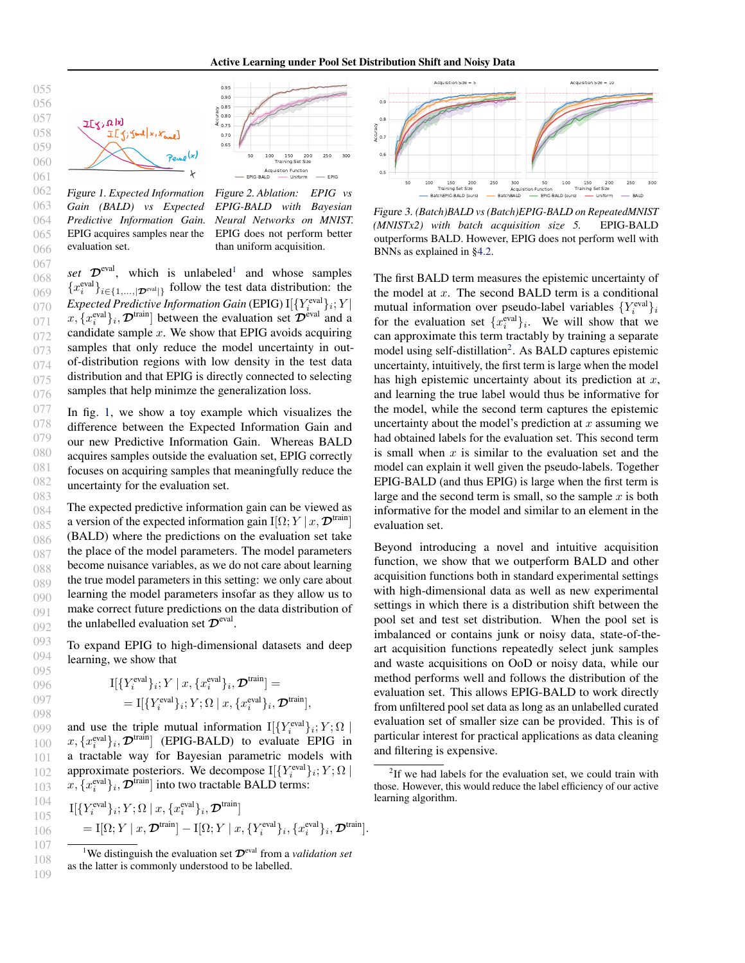### Active Learning under Pool Set Distribution Shift and Noisy Data

<span id="page-1-0"></span>

Figure 1. *Expected Information Gain (BALD) vs Expected Predictive Information Gain.* EPIG acquires samples near the evaluation set.

Figure 2. *Ablation: EPIG vs EPIG-BALD with Bayesian Neural Networks on MNIST.* EPIG does not perform better than uniform acquisition.

set  $\mathcal{D}^{\text{eval}}$ , which is unlabeled<sup>1</sup> and whose samples  ${x_i^{\text{eval}}}_{i \in \{1,...,|\mathcal{D}^{\text{eval}}|\}}$  follow the test data distribution: the Expected Predictive Information Gain (EPIG)  $\mathop{\rm I}\nolimits[\{Y_i^{\rm eval}\}_i;Y]$  $x, \{x_i^{\text{eval}}\}_i, \mathcal{D}^{\text{train}}$  between the evaluation set  $\mathcal{D}^{\text{eval}}$  and a candidate sample  $x$ . We show that EPIG avoids acquiring samples that only reduce the model uncertainty in outof-distribution regions with low density in the test data distribution and that EPIG is directly connected to selecting samples that help minimze the generalization loss.

In fig. 1, we show a toy example which visualizes the difference between the Expected Information Gain and our new Predictive Information Gain. Whereas BALD acquires samples outside the evaluation set, EPIG correctly focuses on acquiring samples that meaningfully reduce the uncertainty for the evaluation set.

088 089 090 091 092 The expected predictive information gain can be viewed as a version of the expected information gain I[ $\Omega$ ;  $Y | x, \mathcal{D}^{\text{train}}$ ] (BALD) where the predictions on the evaluation set take the place of the model parameters. The model parameters become nuisance variables, as we do not care about learning the true model parameters in this setting: we only care about learning the model parameters insofar as they allow us to make correct future predictions on the data distribution of the unlabelled evaluation set  $\mathcal{D}^{\text{eval}}$ .

093 094 095 To expand EPIG to high-dimensional datasets and deep learning, we show that

$$
\begin{aligned} \mathbf{I}[\{Y_i^{\text{eval}}\}_i; Y \mid x, \{x_i^{\text{eval}}\}_i, \mathcal{D}^{\text{train}}] &= \\ &= \mathbf{I}[\{Y_i^{\text{eval}}\}_i; Y; \Omega \mid x, \{x_i^{\text{eval}}\}_i, \mathcal{D}^{\text{train}}], \end{aligned}
$$

099 100 101 102 103 and use the triple mutual information  $\mathbb{I}[\{Y_i^{\text{eval}}\}_i;Y;\Omega]$  $x, \{x_i^{\text{eval}}\}_i, \mathcal{D}^{\text{train}}$  (EPIG-BALD) to evaluate EPIG in a tractable way for Bayesian parametric models with approximate posteriors. We decompose  $\mathcal{I}[\{Y_i^{\text{eval}}\}_i;Y; \Omega]$  $x, \{x_i^{\text{eval}}\}_i, \mathcal{D}^{\text{train}}]$  into two tractable BALD terms:

104 105 106 107  $\mathop{\rm I}\nolimits[\{Y_i^{\rm eval}\}_i; Y; \Omega \mid x, \{x_i^{\rm eval}\}_i, \boldsymbol{\mathcal{D}}^{\rm train}]$  $= \mathrm{I}[\Omega;Y \mid x, \mathcal{D}^{\mathrm{train}}]-\mathrm{I}[\Omega;Y \mid x, \{Y^{\mathrm{eval}}_i\}_i, \{x^{\mathrm{eval}}_i\}_i, \mathcal{D}^{\mathrm{train}}].$ 



Figure 3. *(Batch)BALD vs (Batch)EPIG-BALD on RepeatedMNIST (MNISTx2) with batch acquisition size 5.* EPIG-BALD outperforms BALD. However, EPIG does not perform well with BNNs as explained in [§4.2.](#page-4-0)

The first BALD term measures the epistemic uncertainty of the model at  $x$ . The second BALD term is a conditional mutual information over pseudo-label variables  $\{Y_i^{\text{eval}}\}_i$ for the evaluation set  $\{x_i^{\text{eval}}\}_i$ . We will show that we can approximate this term tractably by training a separate model using self-distillation<sup>2</sup>. As BALD captures epistemic uncertainty, intuitively, the first term is large when the model has high epistemic uncertainty about its prediction at  $x$ , and learning the true label would thus be informative for the model, while the second term captures the epistemic uncertainty about the model's prediction at x assuming we had obtained labels for the evaluation set. This second term is small when  $x$  is similar to the evaluation set and the model can explain it well given the pseudo-labels. Together EPIG-BALD (and thus EPIG) is large when the first term is large and the second term is small, so the sample  $x$  is both informative for the model and similar to an element in the evaluation set.

Beyond introducing a novel and intuitive acquisition function, we show that we outperform BALD and other acquisition functions both in standard experimental settings with high-dimensional data as well as new experimental settings in which there is a distribution shift between the pool set and test set distribution. When the pool set is imbalanced or contains junk or noisy data, state-of-theart acquisition functions repeatedly select junk samples and waste acquisitions on OoD or noisy data, while our method performs well and follows the distribution of the evaluation set. This allows EPIG-BALD to work directly from unfiltered pool set data as long as an unlabelled curated evaluation set of smaller size can be provided. This is of particular interest for practical applications as data cleaning and filtering is expensive.

096 097 098

<sup>&</sup>lt;sup>1</sup>We distinguish the evaluation set  $\mathcal{D}^{eval}$  from a *validation set* as the latter is commonly understood to be labelled.

 $2$ If we had labels for the evaluation set, we could train with those. However, this would reduce the label efficiency of our active learning algorithm.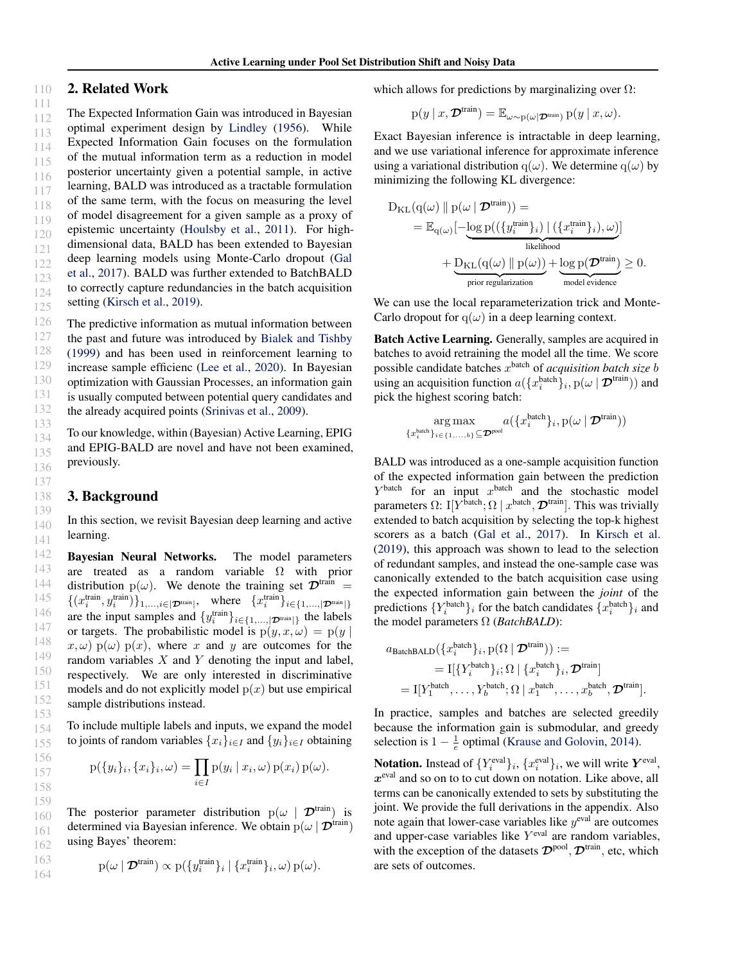#### 110 2. Related Work

111 112 113 114 The Expected Information Gain was introduced in Bayesian optimal experiment design by [Lindley](#page-6-0) [\(1956\)](#page-6-0). While Expected Information Gain focuses on the formulation of the mutual information term as a reduction in model posterior uncertainty given a potential sample, in active learning, BALD was introduced as a tractable formulation of the same term, with the focus on measuring the level of model disagreement for a given sample as a proxy of epistemic uncertainty [\(Houlsby et al.,](#page-6-0) [2011\)](#page-6-0). For highdimensional data, BALD has been extended to Bayesian deep learning models using Monte-Carlo dropout [\(Gal](#page-6-0) [et al.,](#page-6-0) [2017\)](#page-6-0). BALD was further extended to BatchBALD to correctly capture redundancies in the batch acquisition setting [\(Kirsch et al.,](#page-6-0) [2019\)](#page-6-0).

The predictive information as mutual information between the past and future was introduced by [Bialek and Tishby](#page-6-0) [\(1999\)](#page-6-0) and has been used in reinforcement learning to increase sample efficienc [\(Lee et al.,](#page-6-0) [2020\)](#page-6-0). In Bayesian optimization with Gaussian Processes, an information gain is usually computed between potential query candidates and the already acquired points [\(Srinivas et al.,](#page-6-0) [2009\)](#page-6-0).

To our knowledge, within (Bayesian) Active Learning, EPIG and EPIG-BALD are novel and have not been examined, previously.

### 3. Background

In this section, we revisit Bayesian deep learning and active learning.

Bayesian Neural Networks. The model parameters are treated as a random variable  $\Omega$  with prior distribution  $p(\omega)$ . We denote the training set  $\mathcal{D}^{train} =$  $\{(x_i^{\text{train}}, y_i^{\text{train}})\}_{1,\ldots,i \in |\mathcal{D}^{\text{train}}|}$ , where  $\{x_i^{\text{train}}\}_{i \in \{1,\ldots,|\mathcal{D}^{\text{train}}|\}}$ are the input samples and  $\{y_i^{\text{train}}\}_{i \in \{1,\dots,|\mathcal{D}^{\text{train}}|\}}$  the labels or targets. The probabilistic model is  $p(y, x, \omega) = p(y)$  $x, \omega$ ) p( $\omega$ ) p(x), where x and y are outcomes for the random variables  $X$  and  $Y$  denoting the input and label, respectively. We are only interested in discriminative models and do not explicitly model  $p(x)$  but use empirical sample distributions instead.

To include multiple labels and inputs, we expand the model to joints of random variables  $\{x_i\}_{i\in I}$  and  $\{y_i\}_{i\in I}$  obtaining

$$
p({y_i}_i, {x_i}_i, \omega) = \prod_{i \in I} p(y_i | x_i, \omega) p(x_i) p(\omega).
$$

162 The posterior parameter distribution  $p(\omega \mid \mathcal{D}^{train})$  is determined via Bayesian inference. We obtain  $p(\omega | \mathcal{D}^{\text{train}})$ using Bayes' theorem:

$$
p(\omega \mid \mathcal{D}^{train}) \propto p(\{y_i^{train}\}_i \mid \{x_i^{train}\}_i, \omega) p(\omega).
$$

which allows for predictions by marginalizing over  $\Omega$ :

$$
p(y \mid x, \mathcal{D}^{\text{train}}) = \mathbb{E}_{\omega \sim p(\omega \mid \mathcal{D}^{\text{train}})} p(y \mid x, \omega).
$$

Exact Bayesian inference is intractable in deep learning, and we use variational inference for approximate inference using a variational distribution q( $\omega$ ). We determine q( $\omega$ ) by minimizing the following KL divergence:

$$
D_{KL}(q(\omega) \parallel p(\omega | \mathbf{\mathcal{D}}^{train})) =
$$
  
=  $\mathbb{E}_{q(\omega)}[-\underbrace{\log p((\{y_i^{\text{train}}\}_i) | (\{x_i^{\text{train}}\}_i), \omega)}_{\text{likelihood}}] + \underbrace{D_{KL}(q(\omega) \parallel p(\omega))}_{\text{prior regularization}} + \underbrace{\log p(\mathbf{\mathcal{D}}^{\text{train}})}_{\text{model evidence}} \geq 0.$ 

We can use the local reparameterization trick and Monte-Carlo dropout for  $q(\omega)$  in a deep learning context.

Batch Active Learning. Generally, samples are acquired in batches to avoid retraining the model all the time. We score possible candidate batches x batch of *acquisition batch size* b using an acquisition function  $a({x_i^{\text{batch}}}_i)_i, p(\omega | \mathcal{D}^{\text{train}}))$  and pick the highest scoring batch:

$$
\argmax_{\{x_i^{\text{batch}}\}_{i \in \{1,\ldots,b\}} \subseteq \mathcal{D}^{\text{pool}}} a(\{x_i^{\text{batch}}\}_i, \text{p}(\omega \mid \mathcal{D}^{\text{train}}))
$$

BALD was introduced as a one-sample acquisition function of the expected information gain between the prediction  $Y<sup>batch</sup>$  for an input  $x<sup>batch</sup>$  and the stochastic model parameters  $\Omega$ : I[Y<sup>batch</sup>;  $\Omega \mid x^{\text{batch}}, \mathcal{D}^{\text{train}}]$ . This was trivially extended to batch acquisition by selecting the top-k highest scorers as a batch [\(Gal et al.,](#page-6-0) [2017\)](#page-6-0). In [Kirsch et al.](#page-6-0) [\(2019\)](#page-6-0), this approach was shown to lead to the selection of redundant samples, and instead the one-sample case was canonically extended to the batch acquisition case using the expected information gain between the *joint* of the predictions  $\{Y_i^{\text{batch}}\}_i$  for the batch candidates  $\{x_i^{\text{batch}}\}_i$  and the model parameters Ω (*BatchBALD*):

$$
a_{\text{BatchBAD}}(\{x_i^{\text{batch}}\}_i, \mathbf{p}(\Omega \mid \mathcal{D}^{\text{train}})) :=
$$
  
=  $\mathbf{I}[\{Y_i^{\text{batch}}\}_i; \Omega \mid \{x_i^{\text{batch}}\}_i, \mathcal{D}^{\text{train}}]$   
=  $\mathbf{I}[Y_1^{\text{batch}}, \dots, Y_b^{\text{batch}}; \Omega \mid x_1^{\text{batch}}, \dots, x_b^{\text{batch}}, \mathcal{D}^{\text{train}}].$ 

In practice, samples and batches are selected greedily because the information gain is submodular, and greedy selection is  $1 - \frac{1}{e}$  optimal [\(Krause and Golovin,](#page-6-0) [2014\)](#page-6-0).

**Notation.** Instead of  $\{Y_i^{\text{eval}}\}_i$ ,  $\{x_i^{\text{eval}}\}_i$ , we will write  $Y^{\text{eval}}$ ,  $x^{\text{eval}}$  and so on to to cut down on notation. Like above, all terms can be canonically extended to sets by substituting the joint. We provide the full derivations in the appendix. Also note again that lower-case variables like  $y^{\text{eval}}$  are outcomes and upper-case variables like  $Y^{\text{eval}}$  are random variables, with the exception of the datasets  $\mathcal{D}^{\text{pool}}, \mathcal{D}^{\text{train}},$  etc, which are sets of outcomes.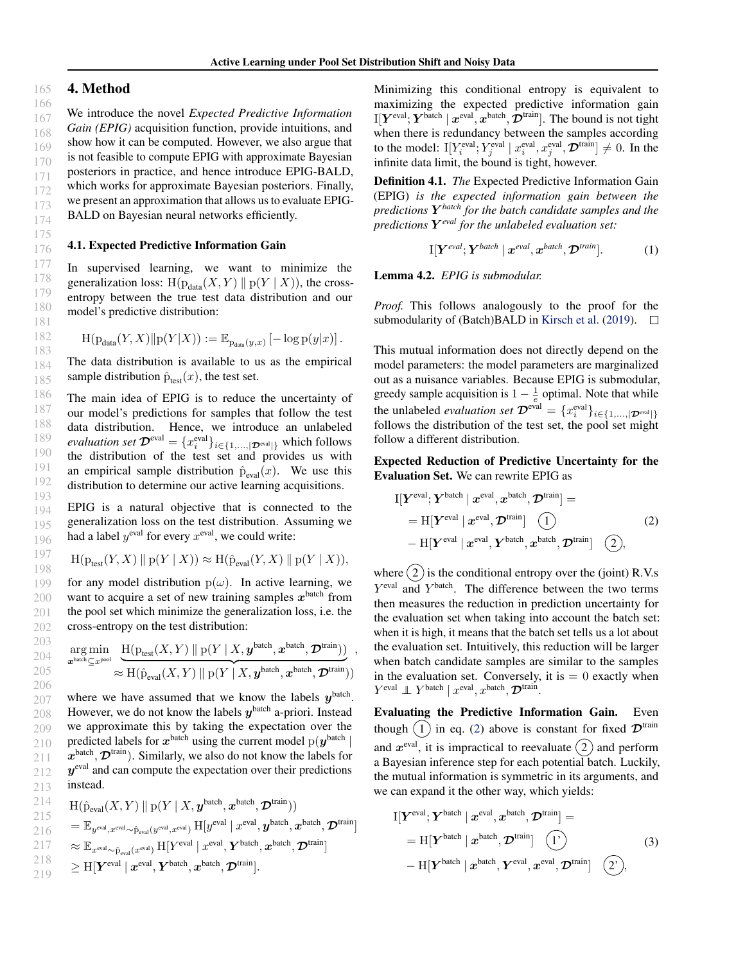## 4. Method

We introduce the novel *Expected Predictive Information Gain (EPIG)* acquisition function, provide intuitions, and show how it can be computed. However, we also argue that is not feasible to compute EPIG with approximate Bayesian posteriors in practice, and hence introduce EPIG-BALD, which works for approximate Bayesian posteriors. Finally, we present an approximation that allows us to evaluate EPIG-BALD on Bayesian neural networks efficiently.

### 4.1. Expected Predictive Information Gain

In supervised learning, we want to minimize the generalization loss:  $H(p_{data}(X, Y) || p(Y | X))$ , the crossentropy between the true test data distribution and our model's predictive distribution:

$$
\text{H}(\text{p}_{\text{data}}(Y,X)\Vert \text{p}(Y|X)):=\mathbb{E}_{\text{p}_{\text{data}}(y,x)}\left[-\log \text{p}(y|x)\right].
$$

184 185 The data distribution is available to us as the empirical sample distribution  $\hat{p}_{test}(x)$ , the test set.

186 187 188 189 190 191 192 193 The main idea of EPIG is to reduce the uncertainty of our model's predictions for samples that follow the test data distribution. Hence, we introduce an unlabeled *evaluation set*  $\mathcal{D}^{eval} = \{x_i^{eval}\}_{i \in \{1,...,|\mathcal{D}^{eval}|\}}$  which follows the distribution of the test set and provides us with an empirical sample distribution  $\hat{p}_{eval}(x)$ . We use this distribution to determine our active learning acquisitions.

194 195 196 EPIG is a natural objective that is connected to the generalization loss on the test distribution. Assuming we had a label  $y^{\text{eval}}$  for every  $x^{\text{eval}}$ , we could write:

$$
\mathrm{H}(\mathrm{p}_{\mathrm{test}}(Y,X)\parallel \mathrm{p}(Y\mid X))\approx \mathrm{H}(\hat{\mathrm{p}}_{\mathrm{eval}}(Y,X)\parallel \mathrm{p}(Y\mid X)),
$$

for any model distribution  $p(\omega)$ . In active learning, we want to acquire a set of new training samples  $x^{\text{batch}}$  from the pool set which minimize the generalization loss, i.e. the cross-entropy on the test distribution:

$$
\mathop{\arg\min}_{\boldsymbol{x}^{\text{batch}} \subseteq x^{\text{pool}}} \frac{\text{H}(\text{p}_{\text{test}}(X, Y) \parallel \text{p}(Y \mid X, \boldsymbol{y}^{\text{batch}}, \boldsymbol{x}^{\text{batch}}, \boldsymbol{\mathcal{D}}^{\text{train}}))}{\approx \text{H}(\hat{\text{p}}_{\text{eval}}(X, Y) \parallel \text{p}(Y \mid X, \boldsymbol{y}^{\text{batch}}, \boldsymbol{x}^{\text{batch}}, \boldsymbol{\mathcal{D}}^{\text{train}}))},
$$

207 208 209 210 211 212 213 where we have assumed that we know the labels  $y^{\text{batch}}$ . However, we do not know the labels  $y^{\text{batch}}$  a-priori. Instead we approximate this by taking the expectation over the predicted labels for  $x^{\text{batch}}$  using the current model  $p(y^{\text{batch}} |$  $x^{\text{batch}}, \mathcal{D}^{\text{train}})$ . Similarly, we also do not know the labels for  $y^{\text{eval}}$  and can compute the expectation over their predictions instead.

$$
\begin{array}{ll}\n\text{214} & \text{H}(\hat{\mathbf{p}}_{\text{eval}}(X,Y) \parallel \mathbf{p}(Y \mid X, \mathbf{y}^{\text{batch}}, \mathbf{x}^{\text{batch}}, \mathbf{D}^{\text{train}})) \\
\text{215} & = \mathbb{E}_{\mathbf{y}^{\text{eval}}, \mathbf{x}^{\text{eval}} \sim \hat{\mathbf{p}}_{\text{eval}}(\mathbf{y}^{\text{eval}}, \mathbf{x}^{\text{eval}}) \mathbf{H}[\mathbf{y}^{\text{eval}}, \mathbf{y}^{\text{eval}}, \mathbf{y}^{\text{batch}}, \mathbf{x}^{\text{batch}}, \mathbf{D}^{\text{train}}] \\
\text{217} & \approx \mathbb{E}_{\mathbf{x}^{\text{eval}} \sim \hat{\mathbf{p}}_{\text{eval}}(\mathbf{x}^{\text{eval}}) \mathbf{H}[\mathbf{Y}^{\text{eval}}, \mathbf{y}^{\text{eval}}, \mathbf{Y}^{\text{batch}}, \mathbf{x}^{\text{batch}}, \mathbf{D}^{\text{train}}] \\
\text{218} & \geq \mathbf{H}[\mathbf{Y}^{\text{eval}} \mid \mathbf{x}^{\text{eval}}, \mathbf{Y}^{\text{batch}}, \mathbf{x}^{\text{batch}}, \mathbf{D}^{\text{train}}].\n\end{array}
$$

Minimizing this conditional entropy is equivalent to maximizing the expected predictive information gain I[ $Y^{\text{eval}}$ ;  $Y^{\text{batch}} \mid x^{\text{eval}}, x^{\text{batch}}, \mathcal{D}^{\text{train}}]$ . The bound is not tight when there is redundancy between the samples according to the model: I[ $Y_i^{\text{eval}}$ ;  $Y_j^{\text{eval}} \mid x_i^{\text{eval}}, x_j^{\text{eval}}, \mathcal{D}^{\text{train}} \rbrack \neq 0$ . In the infinite data limit, the bound is tight, however.

Definition 4.1. *The* Expected Predictive Information Gain (EPIG) *is the expected information gain between the predictions* Y *batch for the batch candidate samples and the predictions* Y *eval for the unlabeled evaluation set:*

$$
\mathrm{I}[\boldsymbol{Y}^{eval};\boldsymbol{Y}^{batch} \mid \boldsymbol{x}^{eval}, \boldsymbol{x}^{batch}, \boldsymbol{\mathcal{D}}^{train}]. \qquad (1)
$$

Lemma 4.2. *EPIG is submodular.*

*Proof.* This follows analogously to the proof for the submodularity of (Batch)BALD in [Kirsch et al.](#page-6-0) [\(2019\)](#page-6-0).  $\Box$ 

This mutual information does not directly depend on the model parameters: the model parameters are marginalized out as a nuisance variables. Because EPIG is submodular, greedy sample acquisition is  $1 - \frac{1}{e}$  optimal. Note that while the unlabeled *evaluation set*  $\mathcal{D}^{eval} = \{x_i^{eval}\}_{i \in \{1,...,|\mathcal{D}^{eval}|\}}$ follows the distribution of the test set, the pool set might follow a different distribution.

Expected Reduction of Predictive Uncertainty for the Evaluation Set. We can rewrite EPIG as

$$
I[\boldsymbol{Y}^{\text{eval}}; \boldsymbol{Y}^{\text{batch}} \mid \boldsymbol{x}^{\text{eval}}, \boldsymbol{x}^{\text{batch}}, \boldsymbol{\mathcal{D}}^{\text{train}}] =
$$
  
= H[\boldsymbol{Y}^{\text{eval}} \mid \boldsymbol{x}^{\text{eval}}, \boldsymbol{\mathcal{D}}^{\text{train}}] \quad (1) (2)  
- H[\boldsymbol{Y}^{\text{eval}} \mid \boldsymbol{x}^{\text{eval}}, \boldsymbol{Y}^{\text{batch}}, \boldsymbol{x}^{\text{batch}}, \boldsymbol{\mathcal{D}}^{\text{train}}] \quad (2),

where  $(2)$  is the conditional entropy over the (joint) R.V.s Y<sup>eval</sup> and Y<sup>batch</sup>. The difference between the two terms then measures the reduction in prediction uncertainty for the evaluation set when taking into account the batch set: when it is high, it means that the batch set tells us a lot about the evaluation set. Intuitively, this reduction will be larger when batch candidate samples are similar to the samples in the evaluation set. Conversely, it is  $= 0$  exactly when  $Y^{\text{eval}} \perp Y^{\text{batch}} \mid x^{\text{eval}}, x^{\text{batch}}, \mathcal{D}^{\text{train}}.$ 

Evaluating the Predictive Information Gain. Even though  $(1)$  in eq. (2) above is constant for fixed  $\mathcal{D}^{train}$ and  $x^{eval}$ , it is impractical to reevaluate  $(2)$  and perform a Bayesian inference step for each potential batch. Luckily, the mutual information is symmetric in its arguments, and we can expand it the other way, which yields:

$$
I[\boldsymbol{Y}^{\text{eval}}; \boldsymbol{Y}^{\text{batch}} \mid \boldsymbol{x}^{\text{eval}}, \boldsymbol{x}^{\text{batch}}, \boldsymbol{\mathcal{D}}^{\text{train}}] =
$$
  
= H[\boldsymbol{Y}^{\text{batch}} \mid \boldsymbol{x}^{\text{batch}}, \boldsymbol{\mathcal{D}}^{\text{train}}] (1)   
- H[\boldsymbol{Y}^{\text{batch}} \mid \boldsymbol{x}^{\text{batch}}, \boldsymbol{Y}^{\text{eval}}, \boldsymbol{x}^{\text{eval}}, \boldsymbol{\mathcal{D}}^{\text{train}}] (2),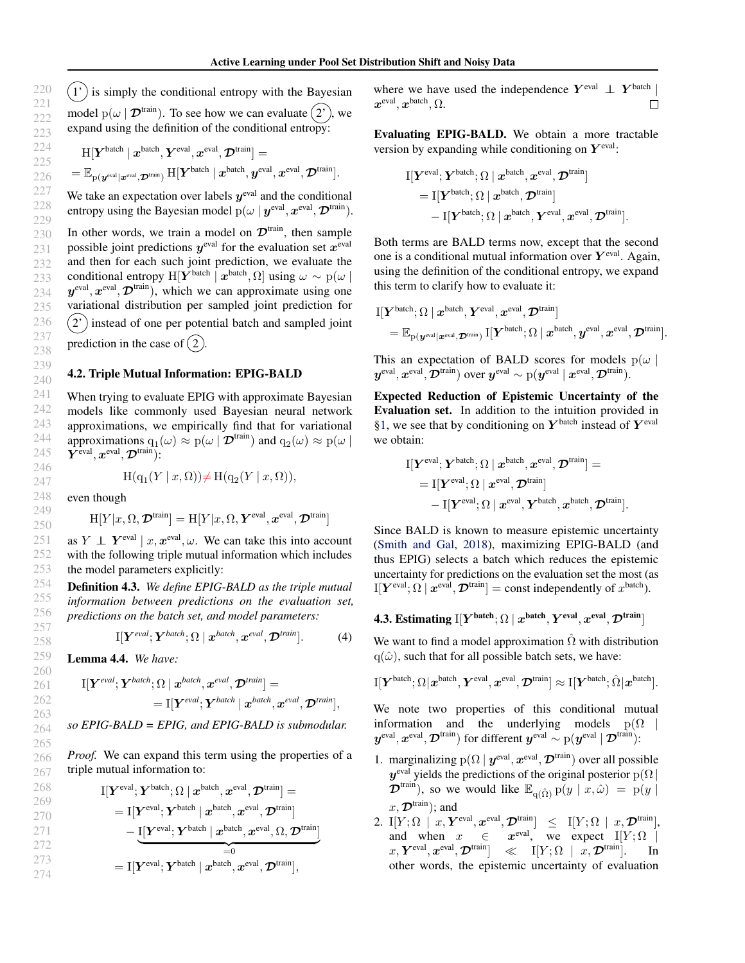<span id="page-4-0"></span> $(1')$  is simply the conditional entropy with the Bayesian model  $p(\omega | \mathcal{D}^{train})$ . To see how we can evaluate  $(2^{\prime})$ , we expand using the definition of the conditional entropy:

$$
\begin{aligned} &\mathrm{H}[\boldsymbol{Y}^{\text{batch}}\,|\, \boldsymbol{x}^{\text{batch}},\boldsymbol{Y}^{\text{eval}},\boldsymbol{x}^{\text{eval}},\boldsymbol{\mathcal{D}}^{\text{train}}]= \\ &=\mathbb{E}_{\text{p}(\boldsymbol{y}^{\text{eval}}\mid \boldsymbol{x}^{\text{eval}},\boldsymbol{\mathcal{D}}^{\text{train}})}\,\mathrm{H}[\boldsymbol{Y}^{\text{batch}}\mid \boldsymbol{x}^{\text{batch}},\boldsymbol{y}^{\text{eval}},\boldsymbol{x}^{\text{eval}},\boldsymbol{\mathcal{D}}^{\text{train}}]. \end{aligned}
$$

We take an expectation over labels  $y^{\text{eval}}$  and the conditional entropy using the Bayesian model  $p(\omega | y^{\text{eval}}, x^{\text{eval}}, \mathcal{D}^{\text{train}}).$ 

In other words, we train a model on  $\mathcal{D}^{train}$ , then sample possible joint predictions  $y^{\text{eval}}$  for the evaluation set  $x^{\text{eval}}$ and then for each such joint prediction, we evaluate the conditional entropy H[ $\boldsymbol{Y}^{\text{batch}} \mid \boldsymbol{x}^{\text{batch}}, \Omega$ ] using  $\omega \sim p(\omega \mid \Omega)$  $y^{\text{eval}}, x^{\text{eval}}, \mathcal{D}^{\text{train}})$ , which we can approximate using one variational distribution per sampled joint prediction for  $(2')$  instead of one per potential batch and sampled joint prediction in the case of  $(2)$ .

### 4.2. Triple Mutual Information: EPIG-BALD

When trying to evaluate EPIG with approximate Bayesian models like commonly used Bayesian neural network approximations, we empirically find that for variational approximations  $q_1(\omega) \approx p(\omega | \mathcal{D}^{\text{train}})$  and  $q_2(\omega) \approx p(\omega |$  $\bm{Y}^{\rm eval}, \bm{x}^{\rm eval}, \bm{\mathcal{D}}^{\rm train}$ :

$$
H(q_1(Y \mid x, \Omega)) \neq H(q_2(Y \mid x, \Omega)),
$$

even though

$$
H[Y|x,\Omega,\mathcal{D}^{\text{train}}] = H[Y|x,\Omega,\bm{Y}^{\text{eval}},\bm{x}^{\text{eval}},\mathcal{D}^{\text{train}}]
$$

as  $Y \perp \!\!\!\! \perp Y^{\text{eval}} \mid x, x^{\text{eval}}, \omega$ . We can take this into account with the following triple mutual information which includes the model parameters explicitly:

Definition 4.3. *We define EPIG-BALD as the triple mutual information between predictions on the evaluation set, predictions on the batch set, and model parameters:*

$$
I[Y^{eval}; Y^{batch}; \Omega \mid x^{batch}, x^{eval}, \mathcal{D}^{train}]. \tag{4}
$$

Lemma 4.4. *We have:*

$$
\begin{aligned} \mathrm{I}[\boldsymbol{Y}^{eval};\boldsymbol{Y}^{batch};\Omega\mid\boldsymbol{x}^{batch},\boldsymbol{x}^{eval},\boldsymbol{\mathcal{D}}^{train}] = \\ = \mathrm{I}[\boldsymbol{Y}^{eval};\boldsymbol{Y}^{batch}\mid\boldsymbol{x}^{batch},\boldsymbol{x}^{eval},\boldsymbol{\mathcal{D}}^{train}], \end{aligned}
$$

*so EPIG-BALD = EPIG, and EPIG-BALD is submodular.*

*Proof.* We can expand this term using the properties of a triple mutual information to:

$$
\begin{aligned} \mathrm{I}[\boldsymbol{Y}^\mathrm{eval};\boldsymbol{Y}^\mathrm{batch};\Omega\mid\boldsymbol{x}^\mathrm{batch},\boldsymbol{x}^\mathrm{eval},\boldsymbol{\mathcal{D}}^\mathrm{train}] &= \\ &= \mathrm{I}[\boldsymbol{Y}^\mathrm{eval};\boldsymbol{Y}^\mathrm{batch}\mid\boldsymbol{x}^\mathrm{batch},\boldsymbol{x}^\mathrm{eval},\boldsymbol{\mathcal{D}}^\mathrm{train}] \\ &-\underbrace{\mathrm{I}[\boldsymbol{Y}^\mathrm{eval};\boldsymbol{Y}^\mathrm{batch}\mid\boldsymbol{x}^\mathrm{batch},\boldsymbol{x}^\mathrm{eval},\Omega,\boldsymbol{\mathcal{D}}^\mathrm{train}]}_{=0}] \\ &= \mathrm{I}[\boldsymbol{Y}^\mathrm{eval};\boldsymbol{Y}^\mathrm{batch}\mid\boldsymbol{x}^\mathrm{batch},\boldsymbol{x}^\mathrm{eval},\boldsymbol{\mathcal{D}}^\mathrm{train}], \end{aligned}
$$

where we have used the independence  $Y^{\text{eval}} \perp Y^{\text{batch}}$  $\boldsymbol{x}^{\text{eval}}, \boldsymbol{x}^{\text{batch}}, \Omega.$ П

Evaluating EPIG-BALD. We obtain a more tractable version by expanding while conditioning on  $Y^{\text{eval}}$ :

$$
\begin{aligned} \mathrm{I}[\boldsymbol{Y}^\text{eval};\boldsymbol{Y}^\text{batch};\Omega\mid\boldsymbol{x}^\text{batch},\boldsymbol{x}^\text{eval},\boldsymbol{\mathcal{D}}^\text{train}] \\ & = \mathrm{I}[\boldsymbol{Y}^\text{batch};\Omega\mid\boldsymbol{x}^\text{batch},\boldsymbol{\mathcal{D}}^\text{train}] \\ & - \mathrm{I}[\boldsymbol{Y}^\text{batch};\Omega\mid\boldsymbol{x}^\text{batch},\boldsymbol{Y}^\text{eval},\boldsymbol{x}^\text{eval},\boldsymbol{\mathcal{D}}^\text{train}]. \end{aligned}
$$

Both terms are BALD terms now, except that the second one is a conditional mutual information over  $Y^{\text{eval}}$ . Again, using the definition of the conditional entropy, we expand this term to clarify how to evaluate it:

$$
\begin{aligned} & \mathrm{I}[\boldsymbol{Y}^{\text{batch}};\Omega\mid \boldsymbol{x}^{\text{batch}},\boldsymbol{Y}^{\text{eval}},\boldsymbol{x}^{\text{eval}},\boldsymbol{\mathcal{D}}^{\text{train}}] \\ & = \mathbb{E}_{\mathrm{p}(\boldsymbol{y}^{\text{eval}}|\boldsymbol{x}^{\text{eval}},\boldsymbol{\mathcal{D}}^{\text{train}})}\,\mathrm{I}[\boldsymbol{Y}^{\text{batch}};\Omega\mid \boldsymbol{x}^{\text{batch}},\boldsymbol{y}^{\text{eval}},\boldsymbol{x}^{\text{eval}},\boldsymbol{\mathcal{D}}^{\text{train}}]. \end{aligned}
$$

This an expectation of BALD scores for models  $p(\omega)$  $\bm{y}^{\text{eval}}, \bm{x}^{\text{eval}}, \overline{\bm{\mathcal{D}}}^{\text{train}}) \text{ over } \bm{y}^{\text{eval}} \sim \text{p}(\bm{y}^{\text{eval}} \mid \bm{x}^{\text{eval}}, \overline{\bm{\mathcal{D}}}^{\text{train}}).$ 

Expected Reduction of Epistemic Uncertainty of the Evaluation set. In addition to the intuition provided in [§1,](#page-0-0) we see that by conditioning on  $Y^{\text{batch}}$  instead of  $Y^{\text{eval}}$ we obtain:

$$
\begin{aligned} \mathbf{I}[\boldsymbol{Y}^{\text{eval}};\boldsymbol{Y}^{\text{batch}};\Omega\mid\boldsymbol{x}^{\text{batch}},\boldsymbol{x}^{\text{eval}},\boldsymbol{\mathcal{D}}^{\text{train}}] = \\ &= \mathbf{I}[\boldsymbol{Y}^{\text{eval}};\Omega\mid\boldsymbol{x}^{\text{eval}},\boldsymbol{\mathcal{D}}^{\text{train}}] \\ &- \mathbf{I}[\boldsymbol{Y}^{\text{eval}};\Omega\mid\boldsymbol{x}^{\text{eval}},\boldsymbol{Y}^{\text{batch}},\boldsymbol{x}^{\text{batch}},\boldsymbol{\mathcal{D}}^{\text{train}}] . \end{aligned}
$$

Since BALD is known to measure epistemic uncertainty [\(Smith and Gal,](#page-6-0) [2018\)](#page-6-0), maximizing EPIG-BALD (and thus EPIG) selects a batch which reduces the epistemic uncertainty for predictions on the evaluation set the most (as  $I[Y<sup>eval</sup>; \Omega | x<sup>eval</sup>, \mathcal{D}<sup>train</sup>] = \text{const independently of } x<sup>batch</sup>).$ 

## 4.3. Estimating I $[Y^{\text{batch}}; \Omega \mid x^{\text{batch}}, Y^{\text{eval}}, x^{\text{eval}}, \mathcal{D}^{\text{train}}]$

We want to find a model approximation  $\Omega$  with distribution  $q(\hat{\omega})$ , such that for all possible batch sets, we have:

$$
\mathrm{I}[\boldsymbol{Y}^{\text{batch}};\Omega|\boldsymbol{x}^{\text{batch}},\boldsymbol{Y}^{\text{eval}},\boldsymbol{x}^{\text{eval}},\boldsymbol{\mathcal{D}}^{\text{train}}]\approx \mathrm{I}[\boldsymbol{Y}^{\text{batch}};\hat{\Omega}|\boldsymbol{x}^{\text{batch}}].
$$

We note two properties of this conditional mutual information and the underlying models  $p(\Omega)$  $y^{\rm eval}, x^{\rm eval}, \mathcal{D}^{\rm train})$  for different  $y^{\rm eval} \sim {\rm p}(y^{\rm eval} \,|\, \mathcal{D}^{\rm train})$ :

- 1. marginalizing  $p(\Omega | y^{\text{eval}}, x^{\text{eval}}, \mathcal{D}^{\text{train}})$  over all possible  $y^{\text{eval}}$  yields the predictions of the original posterior  $p(\Omega)$  $\mathcal{D}^{train}$ ), so we would like  $\mathbb{E}_{q(\hat{\Omega})} p(y | x, \hat{\omega}) = p(y | \hat{\omega})$  $x, \mathcal{D}^{\text{train}})$ ; and
- 2.  $\mathbf{I}[Y;\Omega] \mid x, Y^{\text{eval}}, x^{\text{eval}}, \mathcal{D}^{\text{train}}] \leq \mathbf{I}[Y;\Omega] \mid x, \mathcal{D}^{\text{train}}],$ and when  $x \in$  $x^{\text{eval}}$ , we expect  $I[Y; \Omega]$  $\mathcal{X}, \boldsymbol{Y}^{\text{eval}}, \boldsymbol{x}^{\text{eval}}, \boldsymbol{\mathcal{D}}^{\text{train}}] \quad \ll \quad \text{I}[Y; \Omega \; \mid \; x, \boldsymbol{\mathcal{D}}^{\text{train}}]. \quad \quad \text{In}$ other words, the epistemic uncertainty of evaluation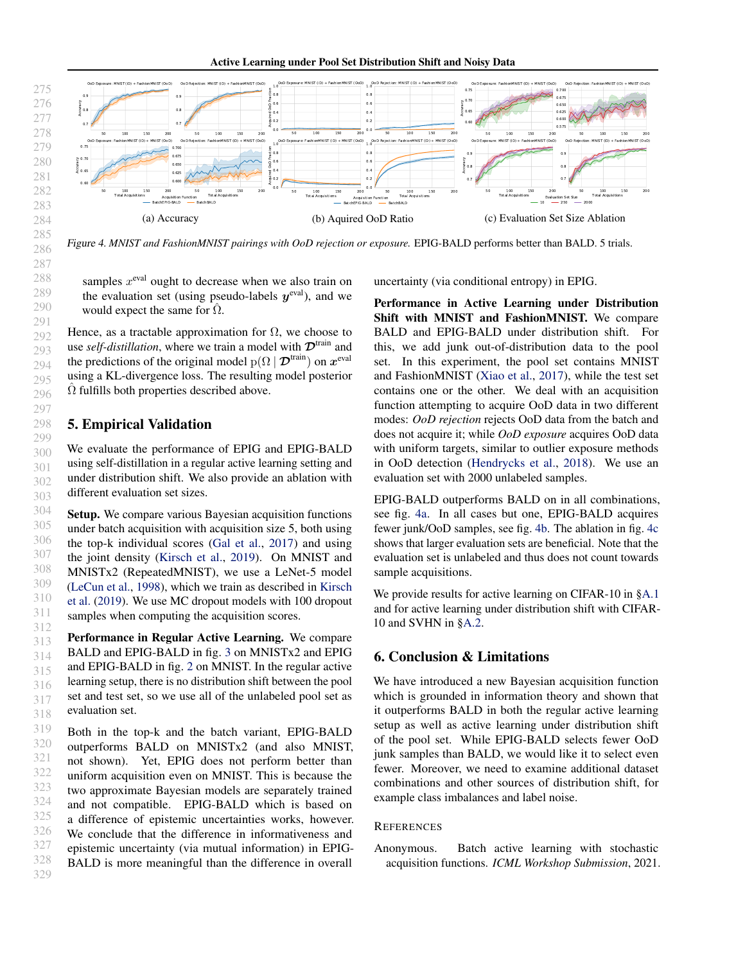Active Learning under Pool Set Distribution Shift and Noisy Data

<span id="page-5-0"></span>

Figure 4. *MNIST and FashionMNIST pairings with OoD rejection or exposure.* EPIG-BALD performs better than BALD. 5 trials.

samples  $x^{\text{eval}}$  ought to decrease when we also train on the evaluation set (using pseudo-labels  $y^{\text{eval}}$ ), and we would expect the same for  $\hat{\Omega}$ .

Hence, as a tractable approximation for  $\Omega$ , we choose to use *self-distillation*, where we train a model with  $\mathcal{D}^{train}$  and the predictions of the original model  $p(\Omega | \mathcal{D}^{\text{train}})$  on  $\mathbf{x}^{\text{eval}}$ using a KL-divergence loss. The resulting model posterior  $\hat{\Omega}$  fulfills both properties described above.

## 5. Empirical Validation

We evaluate the performance of EPIG and EPIG-BALD using self-distillation in a regular active learning setting and under distribution shift. We also provide an ablation with different evaluation set sizes.

Setup. We compare various Bayesian acquisition functions under batch acquisition with acquisition size 5, both using the top-k individual scores [\(Gal et al.,](#page-6-0) [2017\)](#page-6-0) and using the joint density [\(Kirsch et al.,](#page-6-0) [2019\)](#page-6-0). On MNIST and MNISTx2 (RepeatedMNIST), we use a LeNet-5 model [\(LeCun et al.,](#page-6-0) [1998\)](#page-6-0), which we train as described in [Kirsch](#page-6-0) [et al.](#page-6-0) [\(2019\)](#page-6-0). We use MC dropout models with 100 dropout samples when computing the acquisition scores.

313 314 315 316 317 318 Performance in Regular Active Learning. We compare BALD and EPIG-BALD in fig. [3](#page-1-0) on MNISTx2 and EPIG and EPIG-BALD in fig. [2](#page-1-0) on MNIST. In the regular active learning setup, there is no distribution shift between the pool set and test set, so we use all of the unlabeled pool set as evaluation set.

319 320 321 322 323 324 325 326 327 328 329 Both in the top-k and the batch variant, EPIG-BALD outperforms BALD on MNISTx2 (and also MNIST, not shown). Yet, EPIG does not perform better than uniform acquisition even on MNIST. This is because the two approximate Bayesian models are separately trained and not compatible. EPIG-BALD which is based on a difference of epistemic uncertainties works, however. We conclude that the difference in informativeness and epistemic uncertainty (via mutual information) in EPIG-BALD is more meaningful than the difference in overall uncertainty (via conditional entropy) in EPIG.

Performance in Active Learning under Distribution Shift with MNIST and FashionMNIST. We compare BALD and EPIG-BALD under distribution shift. For this, we add junk out-of-distribution data to the pool set. In this experiment, the pool set contains MNIST and FashionMNIST [\(Xiao et al.,](#page-6-0) [2017\)](#page-6-0), while the test set contains one or the other. We deal with an acquisition function attempting to acquire OoD data in two different modes: *OoD rejection* rejects OoD data from the batch and does not acquire it; while *OoD exposure* acquires OoD data with uniform targets, similar to outlier exposure methods in OoD detection [\(Hendrycks et al.,](#page-6-0) [2018\)](#page-6-0). We use an evaluation set with 2000 unlabeled samples.

EPIG-BALD outperforms BALD on in all combinations, see fig. 4a. In all cases but one, EPIG-BALD acquires fewer junk/OoD samples, see fig. 4b. The ablation in fig. 4c shows that larger evaluation sets are beneficial. Note that the evaluation set is unlabeled and thus does not count towards sample acquisitions.

We provide results for active learning on CIFAR-10 in [§A.1](#page-7-0) and for active learning under distribution shift with CIFAR-10 and SVHN in [§A.2.](#page-7-0)

### 6. Conclusion & Limitations

We have introduced a new Bayesian acquisition function which is grounded in information theory and shown that it outperforms BALD in both the regular active learning setup as well as active learning under distribution shift of the pool set. While EPIG-BALD selects fewer OoD junk samples than BALD, we would like it to select even fewer. Moreover, we need to examine additional dataset combinations and other sources of distribution shift, for example class imbalances and label noise.

### **REFERENCES**

Anonymous. Batch active learning with stochastic acquisition functions. *ICML Workshop Submission*, 2021.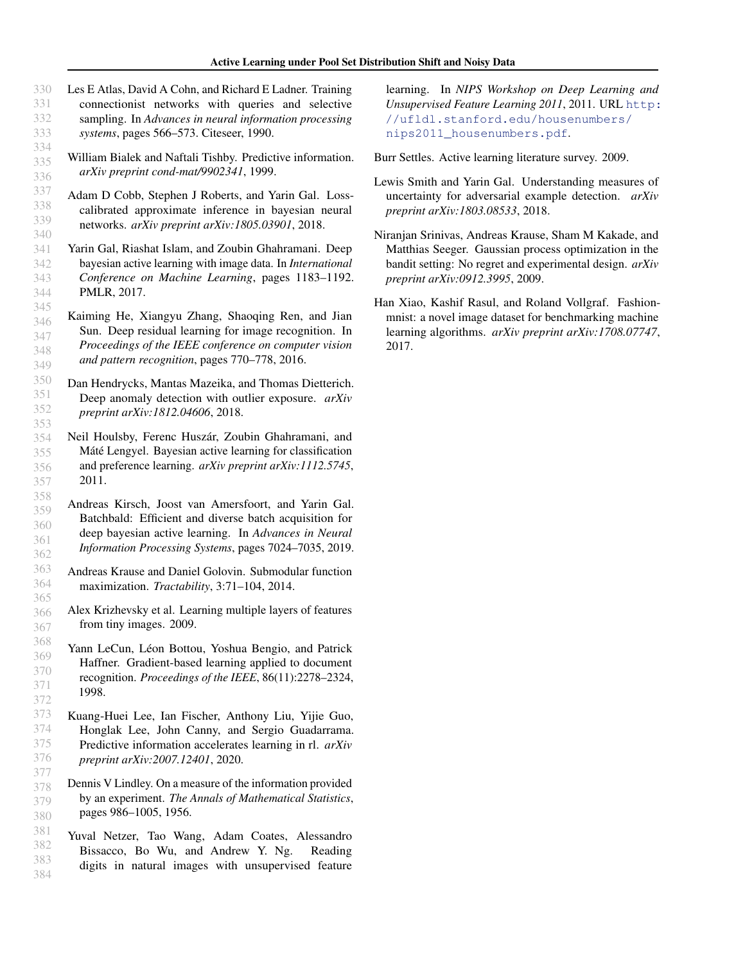Les E Atlas, David A Cohn, and Richard E Ladner. Training

digits in natural images with unsupervised feature

331 332 333 334 335 336 337 338 339 340 341 342 343 344 345 346 347 348 349 350 351 352 353 354 355 356 357 358 359 360 361 362 363 364 365 366 367 368 369 370 371 372 373 374 375 376 377 378 379 380 381 382 connectionist networks with queries and selective sampling. In *Advances in neural information processing systems*, pages 566–573. Citeseer, 1990. William Bialek and Naftali Tishby. Predictive information. *arXiv preprint cond-mat/9902341*, 1999. Adam D Cobb, Stephen J Roberts, and Yarin Gal. Losscalibrated approximate inference in bayesian neural networks. *arXiv preprint arXiv:1805.03901*, 2018. Yarin Gal, Riashat Islam, and Zoubin Ghahramani. Deep bayesian active learning with image data. In *International Conference on Machine Learning*, pages 1183–1192. PMLR, 2017. Kaiming He, Xiangyu Zhang, Shaoqing Ren, and Jian Sun. Deep residual learning for image recognition. In *Proceedings of the IEEE conference on computer vision and pattern recognition*, pages 770–778, 2016. Dan Hendrycks, Mantas Mazeika, and Thomas Dietterich. Deep anomaly detection with outlier exposure. *arXiv preprint arXiv:1812.04606*, 2018. Neil Houlsby, Ferenc Huszár, Zoubin Ghahramani, and Máté Lengyel. Bayesian active learning for classification and preference learning. *arXiv preprint arXiv:1112.5745*, 2011. Andreas Kirsch, Joost van Amersfoort, and Yarin Gal. Batchbald: Efficient and diverse batch acquisition for deep bayesian active learning. In *Advances in Neural Information Processing Systems*, pages 7024–7035, 2019. Andreas Krause and Daniel Golovin. Submodular function maximization. *Tractability*, 3:71–104, 2014. Alex Krizhevsky et al. Learning multiple layers of features from tiny images. 2009. Yann LeCun, Léon Bottou, Yoshua Bengio, and Patrick Haffner. Gradient-based learning applied to document recognition. *Proceedings of the IEEE*, 86(11):2278–2324, 1998. Kuang-Huei Lee, Ian Fischer, Anthony Liu, Yijie Guo, Honglak Lee, John Canny, and Sergio Guadarrama. Predictive information accelerates learning in rl. *arXiv preprint arXiv:2007.12401*, 2020. Dennis V Lindley. On a measure of the information provided by an experiment. *The Annals of Mathematical Statistics*, pages 986–1005, 1956. Yuval Netzer, Tao Wang, Adam Coates, Alessandro Bissacco, Bo Wu, and Andrew Y. Ng. Reading

383 384

<span id="page-6-0"></span>330

learning. In *NIPS Workshop on Deep Learning and Unsupervised Feature Learning 2011*, 2011. URL [http:](http://ufldl.stanford.edu/housenumbers/nips2011_housenumbers.pdf) [//ufldl.stanford.edu/housenumbers/](http://ufldl.stanford.edu/housenumbers/nips2011_housenumbers.pdf) [nips2011\\_housenumbers.pdf](http://ufldl.stanford.edu/housenumbers/nips2011_housenumbers.pdf).

Burr Settles. Active learning literature survey. 2009.

- Lewis Smith and Yarin Gal. Understanding measures of uncertainty for adversarial example detection. *arXiv preprint arXiv:1803.08533*, 2018.
- Niranjan Srinivas, Andreas Krause, Sham M Kakade, and Matthias Seeger. Gaussian process optimization in the bandit setting: No regret and experimental design. *arXiv preprint arXiv:0912.3995*, 2009.
- Han Xiao, Kashif Rasul, and Roland Vollgraf. Fashionmnist: a novel image dataset for benchmarking machine learning algorithms. *arXiv preprint arXiv:1708.07747*, 2017.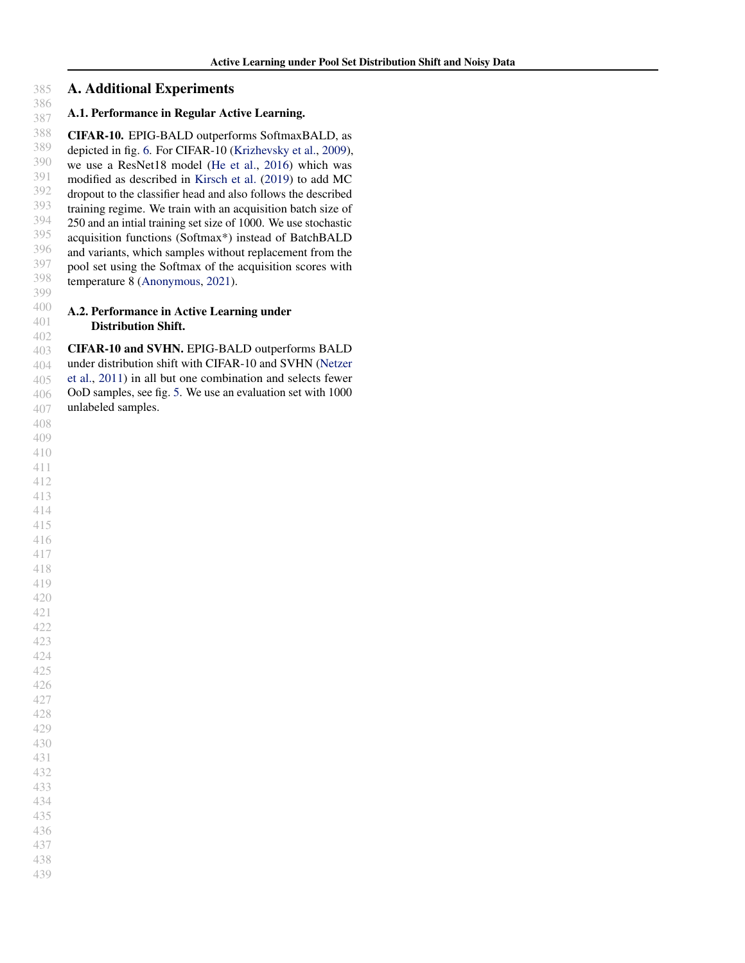#### <span id="page-7-0"></span> A. Additional Experiments

#### A.1. Performance in Regular Active Learning.

 CIFAR-10. EPIG-BALD outperforms SoftmaxBALD, as depicted in fig. [6.](#page-8-0) For CIFAR-10 [\(Krizhevsky et al.,](#page-6-0) [2009\)](#page-6-0), we use a ResNet18 model [\(He et al.,](#page-6-0) [2016\)](#page-6-0) which was modified as described in [Kirsch et al.](#page-6-0) [\(2019\)](#page-6-0) to add MC dropout to the classifier head and also follows the described training regime. We train with an acquisition batch size of 250 and an intial training set size of 1000. We use stochastic acquisition functions (Softmax\*) instead of BatchBALD and variants, which samples without replacement from the pool set using the Softmax of the acquisition scores with temperature 8 [\(Anonymous,](#page-5-0) [2021\)](#page-5-0).

#### A.2. Performance in Active Learning under Distribution Shift.

 CIFAR-10 and SVHN. EPIG-BALD outperforms BALD under distribution shift with CIFAR-10 and SVHN [\(Netzer](#page-6-0) [et al.,](#page-6-0) [2011\)](#page-6-0) in all but one combination and selects fewer OoD samples, see fig. [5.](#page-8-0) We use an evaluation set with 1000 unlabeled samples.